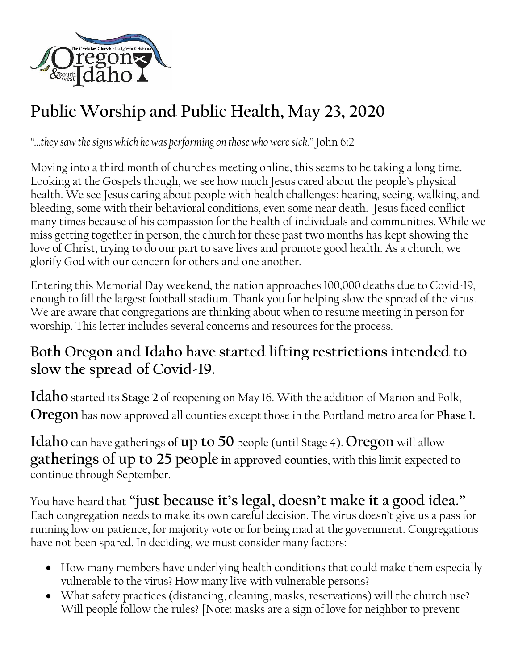

## **Public Worship and Public Health, May 23, 2020**

*"…they saw the signs which he was performing on those who were sick."* John 6:2

Moving into a third month of churches meeting online, this seems to be taking a long time. Looking at the Gospels though, we see how much Jesus cared about the people's physical health. We see Jesus caring about people with health challenges: hearing, seeing, walking, and bleeding, some with their behavioral conditions, even some near death. Jesus faced conflict many times because of his compassion for the health of individuals and communities. While we miss getting together in person, the church for these past two months has kept showing the love of Christ, trying to do our part to save lives and promote good health. As a church, we glorify God with our concern for others and one another.

Entering this Memorial Day weekend, the nation approaches 100,000 deaths due to Covid-19, enough to fill the largest football stadium. Thank you for helping slow the spread of the virus. We are aware that congregations are thinking about when to resume meeting in person for worship. This letter includes several concerns and resources for the process.

## **Both Oregon and Idaho have started lifting restrictions intended to slow the spread of Covid-19.**

**Idaho** started its **Stage 2** of reopening on May 16. With the addition of Marion and Polk, **Oregon** has now approved all counties except those in the Portland metro area for **Phase 1.**

**Idaho** can have gatherings **of up to 50** people (until Stage 4). **Oregon** will allow **gatherings of up to 25 people in approved counties**, with this limit expected to continue through September.

You have heard that **"just because it's legal, doesn't make it a good idea."** Each congregation needs to make its own careful decision. The virus doesn't give us a pass for running low on patience, for majority vote or for being mad at the government. Congregations have not been spared. In deciding, we must consider many factors:

- How many members have underlying health conditions that could make them especially vulnerable to the virus? How many live with vulnerable persons?
- What safety practices (distancing, cleaning, masks, reservations) will the church use? Will people follow the rules? [Note: masks are a sign of love for neighbor to prevent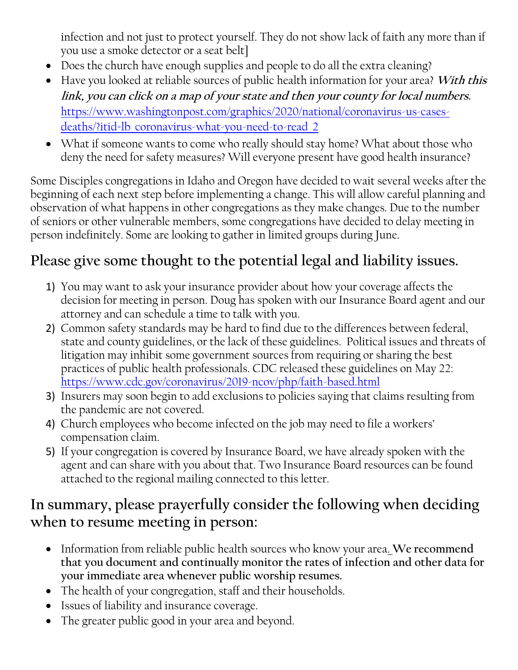infection and not just to protect yourself. They do not show lack of faith any more than if you use a smoke detector or a seat belt]

- Does the church have enough supplies and people to do all the extra cleaning?
- Have you looked at reliable sources of public health information for your area? **With this link, you can click on a map of your state and then your county for local numbers.**  [https://www.washingtonpost.com/graphics/2020/national/coronavirus-us-cases](https://www.washingtonpost.com/graphics/2020/national/coronavirus-us-cases-deaths/?itid=lb_coronavirus-what-you-need-to-read_2)[deaths/?itid=lb\\_coronavirus-what-you-need-to-read\\_2](https://www.washingtonpost.com/graphics/2020/national/coronavirus-us-cases-deaths/?itid=lb_coronavirus-what-you-need-to-read_2)
- What if someone wants to come who really should stay home? What about those who deny the need for safety measures? Will everyone present have good health insurance?

Some Disciples congregations in Idaho and Oregon have decided to wait several weeks after the beginning of each next step before implementing a change. This will allow careful planning and observation of what happens in other congregations as they make changes. Due to the number of seniors or other vulnerable members, some congregations have decided to delay meeting in person indefinitely. Some are looking to gather in limited groups during June.

## **Please give some thought to the potential legal and liability issues.**

- 1) You may want to ask your insurance provider about how your coverage affects the decision for meeting in person. Doug has spoken with our Insurance Board agent and our attorney and can schedule a time to talk with you.
- 2) Common safety standards may be hard to find due to the differences between federal, state and county guidelines, or the lack of these guidelines. Political issues and threats of litigation may inhibit some government sources from requiring or sharing the best practices of public health professionals. CDC released these guidelines on May 22: <https://www.cdc.gov/coronavirus/2019-ncov/php/faith-based.html>
- 3) Insurers may soon begin to add exclusions to policies saying that claims resulting from the pandemic are not covered.
- 4) Church employees who become infected on the job may need to file a workers' compensation claim.
- 5) If your congregation is covered by Insurance Board, we have already spoken with the agent and can share with you about that. Two Insurance Board resources can be found attached to the regional mailing connected to this letter.

## **In summary, please prayerfully consider the following when deciding when to resume meeting in person:**

- Information from reliable public health sources who know your area. **We recommend that you document and continually monitor the rates of infection and other data for your immediate area whenever public worship resumes.**
- The health of your congregation, staff and their households.
- Issues of liability and insurance coverage.
- The greater public good in your area and beyond.